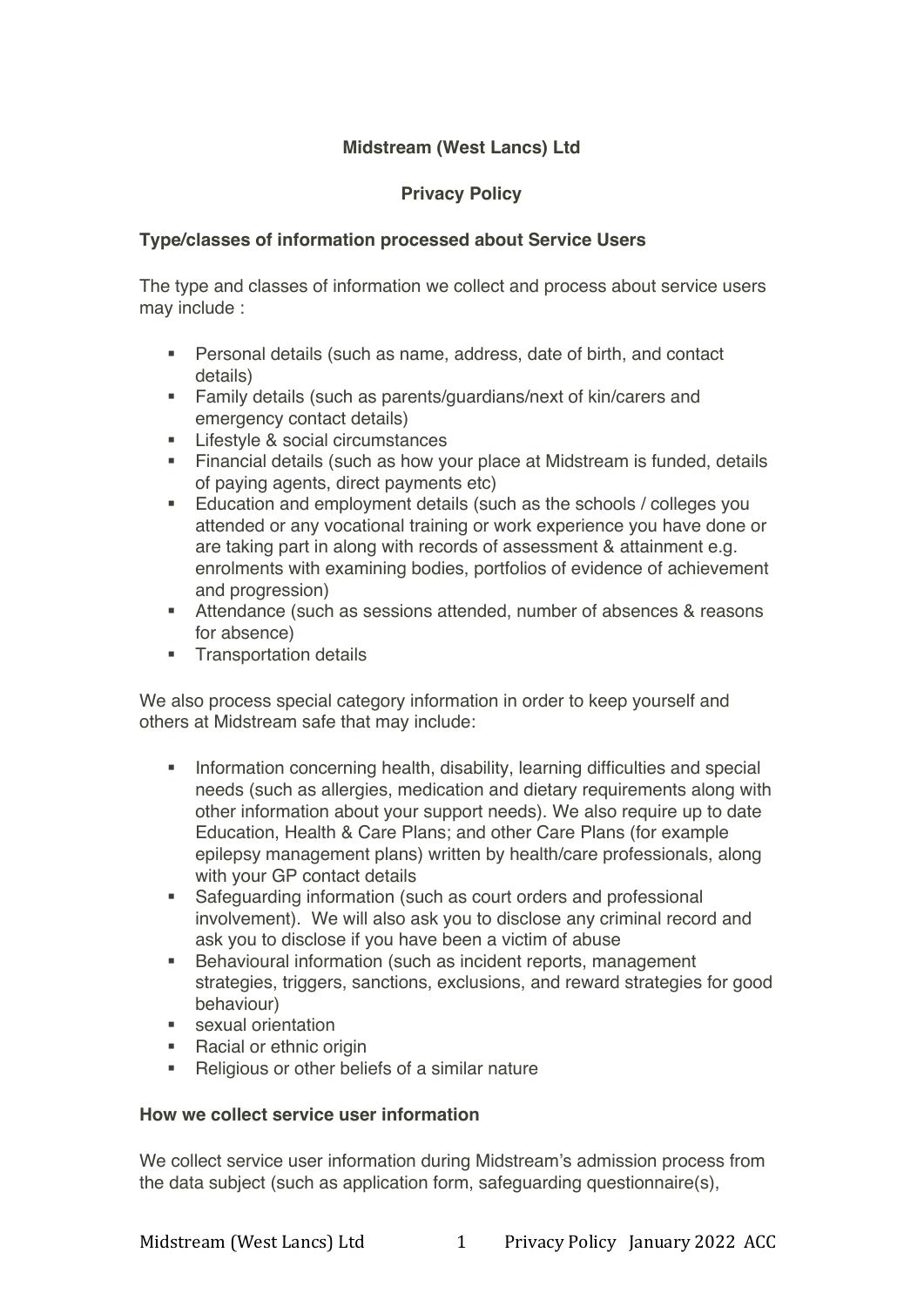# **Midstream (West Lancs) Ltd**

# **Privacy Policy**

# **Type/classes of information processed about Service Users**

The type and classes of information we collect and process about service users may include :

- Personal details (such as name, address, date of birth, and contact details)
- **•** Family details (such as parents/guardians/next of kin/carers and emergency contact details)
- Lifestyle & social circumstances
- Financial details (such as how your place at Midstream is funded, details of paying agents, direct payments etc)
- Education and employment details (such as the schools / colleges you attended or any vocational training or work experience you have done or are taking part in along with records of assessment & attainment e.g. enrolments with examining bodies, portfolios of evidence of achievement and progression)
- § Attendance (such as sessions attended, number of absences & reasons for absence)
- **•** Transportation details

We also process special category information in order to keep yourself and others at Midstream safe that may include:

- Information concerning health, disability, learning difficulties and special needs (such as allergies, medication and dietary requirements along with other information about your support needs). We also require up to date Education, Health & Care Plans; and other Care Plans (for example epilepsy management plans) written by health/care professionals, along with your GP contact details
- Safeguarding information (such as court orders and professional involvement). We will also ask you to disclose any criminal record and ask you to disclose if you have been a victim of abuse
- Behavioural information (such as incident reports, management strategies, triggers, sanctions, exclusions, and reward strategies for good behaviour)
- sexual orientation
- Racial or ethnic origin
- Religious or other beliefs of a similar nature

## **How we collect service user information**

We collect service user information during Midstream's admission process from the data subject (such as application form, safeguarding questionnaire(s),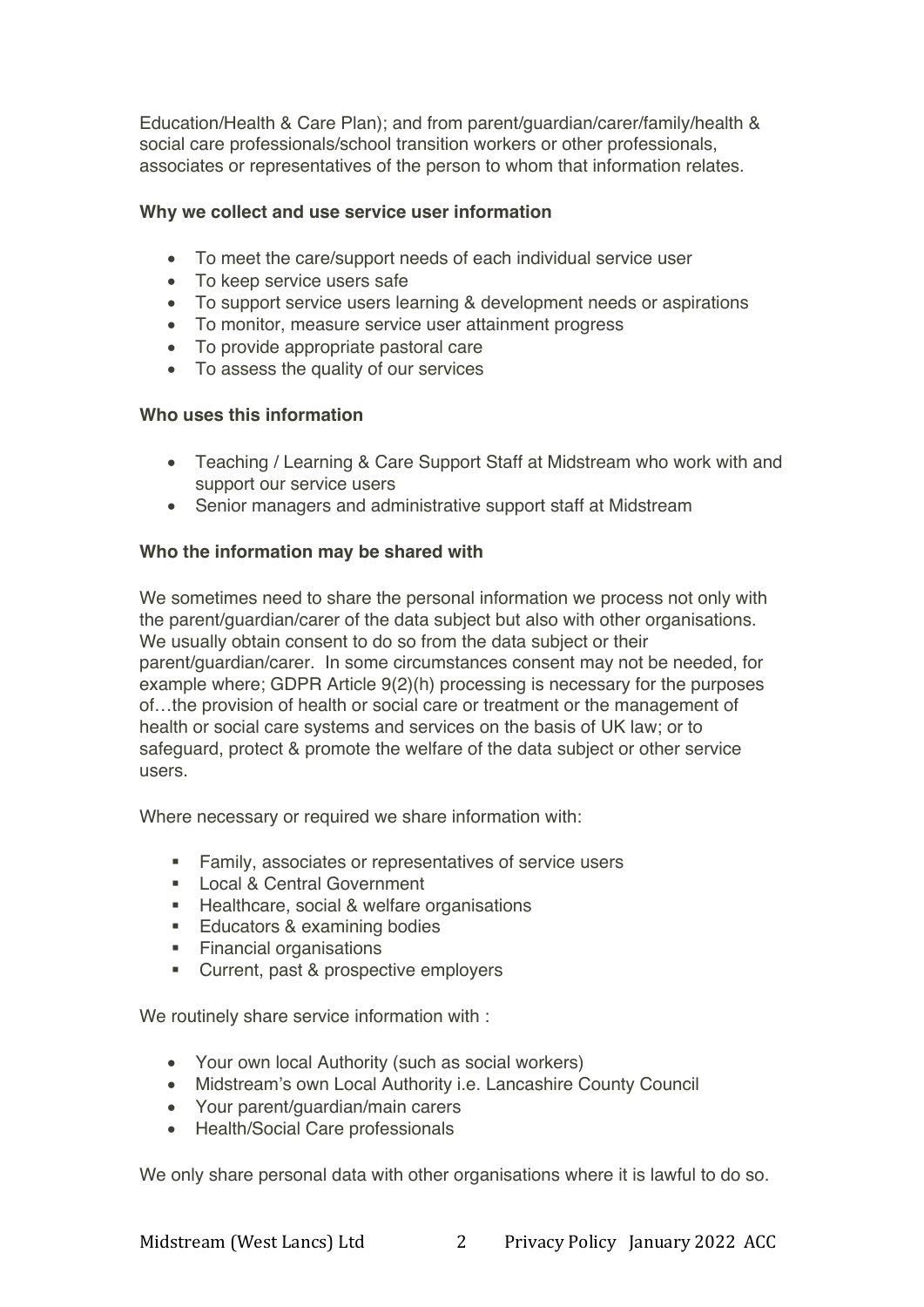Education/Health & Care Plan); and from parent/guardian/carer/family/health & social care professionals/school transition workers or other professionals, associates or representatives of the person to whom that information relates.

# **Why we collect and use service user information**

- To meet the care/support needs of each individual service user
- To keep service users safe
- To support service users learning & development needs or aspirations
- To monitor, measure service user attainment progress
- To provide appropriate pastoral care
- To assess the quality of our services

## **Who uses this information**

- Teaching / Learning & Care Support Staff at Midstream who work with and support our service users
- Senior managers and administrative support staff at Midstream

## **Who the information may be shared with**

We sometimes need to share the personal information we process not only with the parent/guardian/carer of the data subject but also with other organisations. We usually obtain consent to do so from the data subject or their parent/guardian/carer. In some circumstances consent may not be needed, for example where; GDPR Article 9(2)(h) processing is necessary for the purposes of…the provision of health or social care or treatment or the management of health or social care systems and services on the basis of UK law; or to safeguard, protect & promote the welfare of the data subject or other service users.

Where necessary or required we share information with:

- Family, associates or representatives of service users
- Local & Central Government
- Healthcare, social & welfare organisations
- Educators & examining bodies
- § Financial organisations
- Current, past & prospective employers

We routinely share service information with :

- Your own local Authority (such as social workers)
- Midstream's own Local Authority i.e. Lancashire County Council
- Your parent/guardian/main carers
- Health/Social Care professionals

We only share personal data with other organisations where it is lawful to do so.